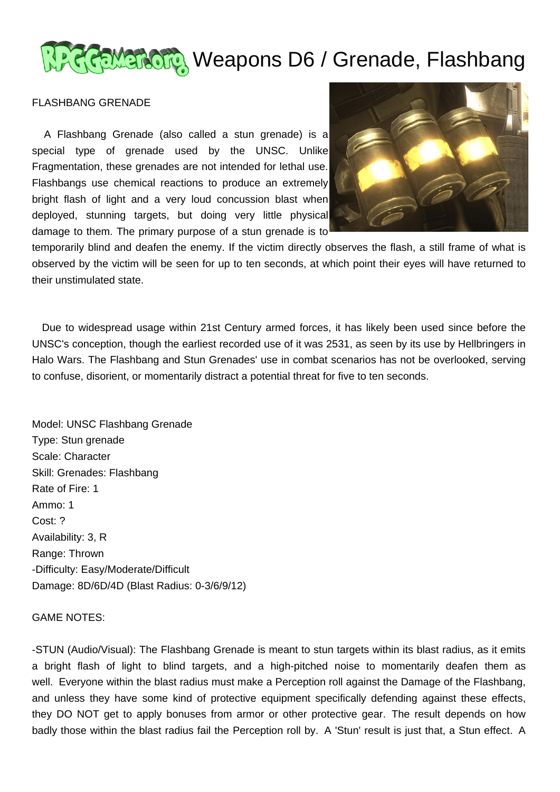

## सुस्ला Weapons D6 / Grenade, Flashbang

## FLASHBANG GRENADE

 A Flashbang Grenade (also called a stun grenade) is a special type of grenade used by the UNSC. Unlike Fragmentation, these grenades are not intended for lethal use. Flashbangs use chemical reactions to produce an extremely bright flash of light and a very loud concussion blast when deployed, stunning targets, but doing very little physical damage to them. The primary purpose of a stun grenade is to



temporarily blind and deafen the enemy. If the victim directly observes the flash, a still frame of what is observed by the victim will be seen for up to ten seconds, at which point their eyes will have returned to their unstimulated state.

 Due to widespread usage within 21st Century armed forces, it has likely been used since before the UNSC's conception, though the earliest recorded use of it was 2531, as seen by its use by Hellbringers in Halo Wars. The Flashbang and Stun Grenades' use in combat scenarios has not be overlooked, serving to confuse, disorient, or momentarily distract a potential threat for five to ten seconds.

Model: UNSC Flashbang Grenade Type: Stun grenade Scale: Character Skill: Grenades: Flashbang Rate of Fire: 1 Ammo: 1 Cost: ? Availability: 3, R Range: Thrown -Difficulty: Easy/Moderate/Difficult Damage: 8D/6D/4D (Blast Radius: 0-3/6/9/12)

## GAME NOTES:

-STUN (Audio/Visual): The Flashbang Grenade is meant to stun targets within its blast radius, as it emits a bright flash of light to blind targets, and a high-pitched noise to momentarily deafen them as well. Everyone within the blast radius must make a Perception roll against the Damage of the Flashbang, and unless they have some kind of protective equipment specifically defending against these effects, they DO NOT get to apply bonuses from armor or other protective gear. The result depends on how badly those within the blast radius fail the Perception roll by. A 'Stun' result is just that, a Stun effect. A